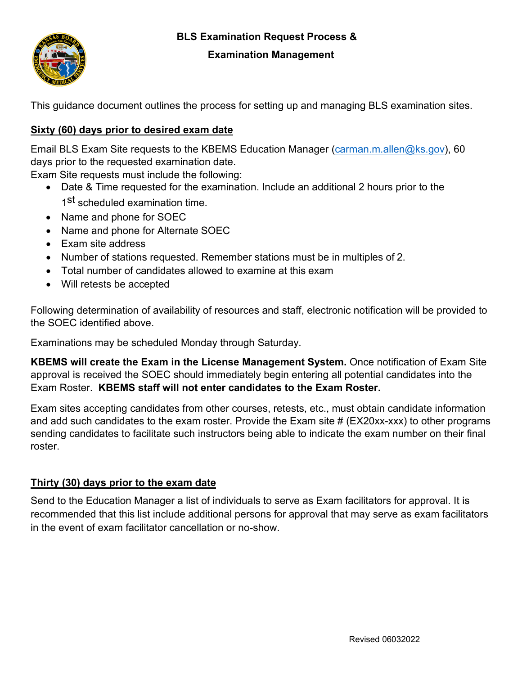# **BLS Examination Request Process &**



#### **Examination Management**

This guidance document outlines the process for setting up and managing BLS examination sites.

## **Sixty (60) days prior to desired exam date**

Email BLS Exam Site requests to the KBEMS Education Manager [\(carman.m.allen@ks.gov\)](mailto:carman.m.allen@ks.gov), 60 days prior to the requested examination date.

Exam Site requests must include the following:

- Date & Time requested for the examination. Include an additional 2 hours prior to the 1<sup>st</sup> scheduled examination time.
- Name and phone for SOEC
- Name and phone for Alternate SOEC
- Exam site address
- Number of stations requested. Remember stations must be in multiples of 2.
- Total number of candidates allowed to examine at this exam
- Will retests be accepted

Following determination of availability of resources and staff, electronic notification will be provided to the SOEC identified above.

Examinations may be scheduled Monday through Saturday.

**KBEMS will create the Exam in the License Management System.** Once notification of Exam Site approval is received the SOEC should immediately begin entering all potential candidates into the Exam Roster. **KBEMS staff will not enter candidates to the Exam Roster.**

Exam sites accepting candidates from other courses, retests, etc., must obtain candidate information and add such candidates to the exam roster. Provide the Exam site # (EX20xx-xxx) to other programs sending candidates to facilitate such instructors being able to indicate the exam number on their final roster.

### **Thirty (30) days prior to the exam date**

Send to the Education Manager a list of individuals to serve as Exam facilitators for approval. It is recommended that this list include additional persons for approval that may serve as exam facilitators in the event of exam facilitator cancellation or no-show.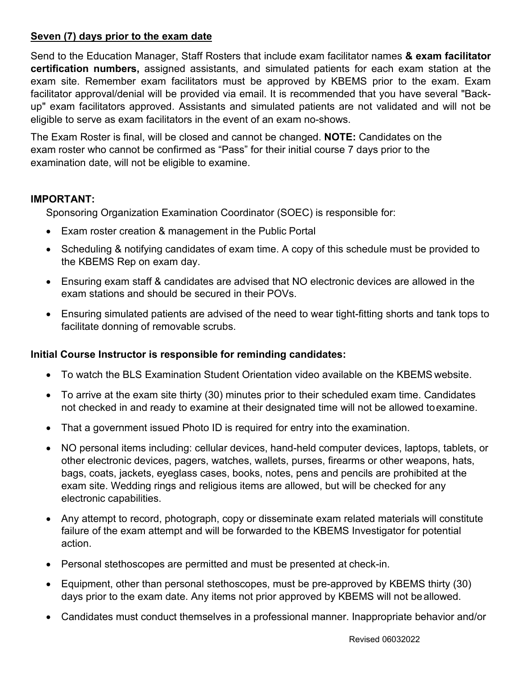## **Seven (7) days prior to the exam date**

Send to the Education Manager, Staff Rosters that include exam facilitator names **& exam facilitator certification numbers,** assigned assistants, and simulated patients for each exam station at the exam site. Remember exam facilitators must be approved by KBEMS prior to the exam. Exam facilitator approval/denial will be provided via email. It is recommended that you have several "Backup" exam facilitators approved. Assistants and simulated patients are not validated and will not be eligible to serve as exam facilitators in the event of an exam no-shows.

The Exam Roster is final, will be closed and cannot be changed. **NOTE:** Candidates on the exam roster who cannot be confirmed as "Pass" for their initial course 7 days prior to the examination date, will not be eligible to examine.

## **IMPORTANT:**

Sponsoring Organization Examination Coordinator (SOEC) is responsible for:

- Exam roster creation & management in the Public Portal
- Scheduling & notifying candidates of exam time. A copy of this schedule must be provided to the KBEMS Rep on exam day.
- Ensuring exam staff & candidates are advised that NO electronic devices are allowed in the exam stations and should be secured in their POVs.
- Ensuring simulated patients are advised of the need to wear tight-fitting shorts and tank tops to facilitate donning of removable scrubs.

## **Initial Course Instructor is responsible for reminding candidates:**

- To watch the BLS Examination Student Orientation video available on the KBEMS website.
- To arrive at the exam site thirty (30) minutes prior to their scheduled exam time. Candidates not checked in and ready to examine at their designated time will not be allowed toexamine.
- That a government issued Photo ID is required for entry into the examination.
- NO personal items including: cellular devices, hand-held computer devices, laptops, tablets, or other electronic devices, pagers, watches, wallets, purses, firearms or other weapons, hats, bags, coats, jackets, eyeglass cases, books, notes, pens and pencils are prohibited at the exam site. Wedding rings and religious items are allowed, but will be checked for any electronic capabilities.
- Any attempt to record, photograph, copy or disseminate exam related materials will constitute failure of the exam attempt and will be forwarded to the KBEMS Investigator for potential action.
- Personal stethoscopes are permitted and must be presented at check-in.
- Equipment, other than personal stethoscopes, must be pre-approved by KBEMS thirty (30) days prior to the exam date. Any items not prior approved by KBEMS will not beallowed.
- Candidates must conduct themselves in a professional manner. Inappropriate behavior and/or